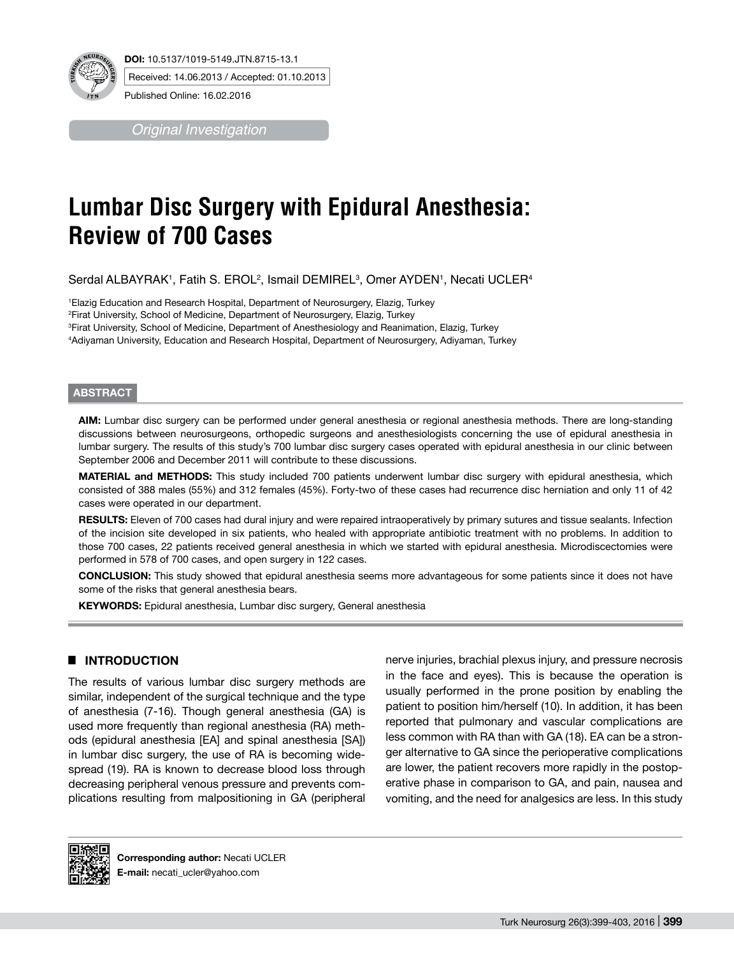

**DOI:** 10.5137/1019-5149.JTN.8715-13.1 Received: 14.06.2013 / Accepted: 01.10.2013

Published Online: 16.02.2016

*Original Investigation*

# **Lumbar Disc Surgery with Epidural Anesthesia: Review of 700 Cases**

Serdal ALBAYRAK', Fatih S. EROL<sup>2</sup>, Ismail DEMIREL<sup>3</sup>, Omer AYDEN', Necati UCLER<sup>4</sup>

 Elazig Education and Research Hospital, Department of Neurosurgery, Elazig, Turkey Firat University, School of Medicine, Department of Neurosurgery, Elazig, Turkey Firat University, School of Medicine, Department of Anesthesiology and Reanimation, Elazig, Turkey Adiyaman University, Education and Research Hospital, Department of Neurosurgery, Adiyaman, Turkey

#### **ABSTRACT**

**AIm:** Lumbar disc surgery can be performed under general anesthesia or regional anesthesia methods. There are long-standing discussions between neurosurgeons, orthopedic surgeons and anesthesiologists concerning the use of epidural anesthesia in lumbar surgery. The results of this study's 700 lumbar disc surgery cases operated with epidural anesthesia in our clinic between September 2006 and December 2011 will contribute to these discussions.

**MaterIal and Methods:** This study included 700 patients underwent lumbar disc surgery with epidural anesthesia, which consisted of 388 males (55%) and 312 females (45%). Forty-two of these cases had recurrence disc herniation and only 11 of 42 cases were operated in our department.

RESULTS: Eleven of 700 cases had dural injury and were repaired intraoperatively by primary sutures and tissue sealants. Infection of the incision site developed in six patients, who healed with appropriate antibiotic treatment with no problems. In addition to those 700 cases, 22 patients received general anesthesia in which we started with epidural anesthesia. Microdiscectomies were performed in 578 of 700 cases, and open surgery in 122 cases.

**ConclusIon:** This study showed that epidural anesthesia seems more advantageous for some patients since it does not have some of the risks that general anesthesia bears.

**KEYWORDS:** Epidural anesthesia, Lumbar disc surgery, General anesthesia

## █ **INTRODUCTION**

The results of various lumbar disc surgery methods are similar, independent of the surgical technique and the type of anesthesia (7-16). Though general anesthesia (GA) is used more frequently than regional anesthesia (RA) methods (epidural anesthesia [EA] and spinal anesthesia [SA]) in lumbar disc surgery, the use of RA is becoming widespread (19). RA is known to decrease blood loss through decreasing peripheral venous pressure and prevents complications resulting from malpositioning in GA (peripheral

nerve injuries, brachial plexus injury, and pressure necrosis in the face and eyes). This is because the operation is usually performed in the prone position by enabling the patient to position him/herself (10). In addition, it has been reported that pulmonary and vascular complications are less common with RA than with GA (18). EA can be a stronger alternative to GA since the perioperative complications are lower, the patient recovers more rapidly in the postoperative phase in comparison to GA, and pain, nausea and vomiting, and the need for analgesics are less. In this study

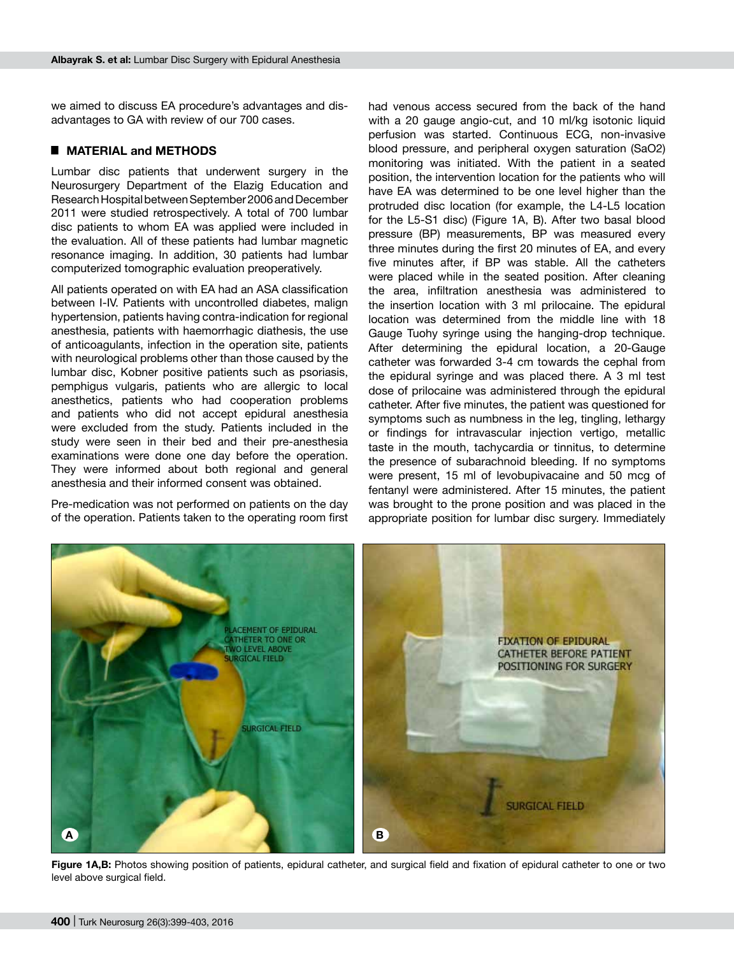we aimed to discuss EA procedure's advantages and disadvantages to GA with review of our 700 cases.

## █ **MATERIAL and METHODS**

Lumbar disc patients that underwent surgery in the Neurosurgery Department of the Elazig Education and Research Hospital between September 2006 and December 2011 were studied retrospectively. A total of 700 lumbar disc patients to whom EA was applied were included in the evaluation. All of these patients had lumbar magnetic resonance imaging. In addition, 30 patients had lumbar computerized tomographic evaluation preoperatively.

All patients operated on with EA had an ASA classification between I-IV. Patients with uncontrolled diabetes, malign hypertension, patients having contra-indication for regional anesthesia, patients with haemorrhagic diathesis, the use of anticoagulants, infection in the operation site, patients with neurological problems other than those caused by the lumbar disc, Kobner positive patients such as psoriasis, pemphigus vulgaris, patients who are allergic to local anesthetics, patients who had cooperation problems and patients who did not accept epidural anesthesia were excluded from the study. Patients included in the study were seen in their bed and their pre-anesthesia examinations were done one day before the operation. They were informed about both regional and general anesthesia and their informed consent was obtained.

Pre-medication was not performed on patients on the day of the operation. Patients taken to the operating room first had venous access secured from the back of the hand with a 20 gauge angio-cut, and 10 ml/kg isotonic liquid perfusion was started. Continuous ECG, non-invasive blood pressure, and peripheral oxygen saturation (SaO2) monitoring was initiated. With the patient in a seated position, the intervention location for the patients who will have EA was determined to be one level higher than the protruded disc location (for example, the L4-L5 location for the L5-S1 disc) (Figure 1A, B). After two basal blood pressure (BP) measurements, BP was measured every three minutes during the first 20 minutes of EA, and every five minutes after, if BP was stable. All the catheters were placed while in the seated position. After cleaning the area, infiltration anesthesia was administered to the insertion location with 3 ml prilocaine. The epidural location was determined from the middle line with 18 Gauge Tuohy syringe using the hanging-drop technique. After determining the epidural location, a 20-Gauge catheter was forwarded 3-4 cm towards the cephal from the epidural syringe and was placed there. A 3 ml test dose of prilocaine was administered through the epidural catheter. After five minutes, the patient was questioned for symptoms such as numbness in the leg, tingling, lethargy or findings for intravascular injection vertigo, metallic taste in the mouth, tachycardia or tinnitus, to determine the presence of subarachnoid bleeding. If no symptoms were present, 15 ml of levobupivacaine and 50 mcg of fentanyl were administered. After 15 minutes, the patient was brought to the prone position and was placed in the appropriate position for lumbar disc surgery. Immediately



Figure 1A,B: Photos showing position of patients, epidural catheter, and surgical field and fixation of epidural catheter to one or two level above surgical field.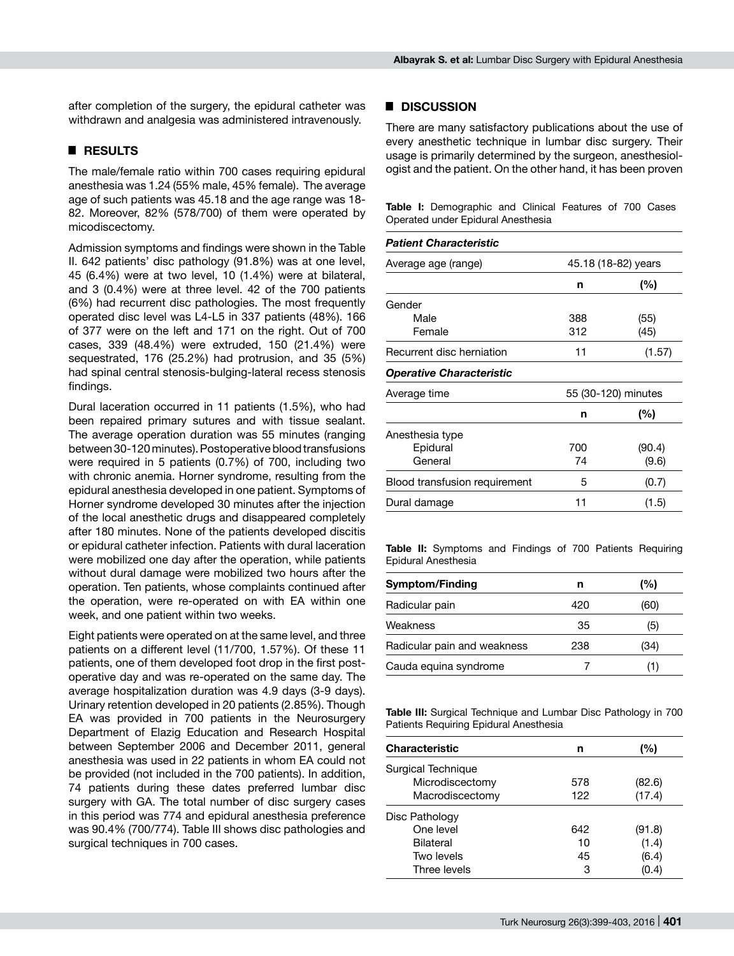after completion of the surgery, the epidural catheter was withdrawn and analgesia was administered intravenously.

## █ **RESULTS**

The male/female ratio within 700 cases requiring epidural anesthesia was 1.24 (55% male, 45% female). The average age of such patients was 45.18 and the age range was 18- 82. Moreover, 82% (578/700) of them were operated by micodiscectomy.

Admission symptoms and findings were shown in the Table II. 642 patients' disc pathology (91.8%) was at one level, 45 (6.4%) were at two level, 10 (1.4%) were at bilateral, and 3 (0.4%) were at three level. 42 of the 700 patients (6%) had recurrent disc pathologies. The most frequently operated disc level was L4-L5 in 337 patients (48%). 166 of 377 were on the left and 171 on the right. Out of 700 cases, 339 (48.4%) were extruded, 150 (21.4%) were sequestrated, 176 (25.2%) had protrusion, and 35 (5%) had spinal central stenosis-bulging-lateral recess stenosis findings.

Dural laceration occurred in 11 patients (1.5%), who had been repaired primary sutures and with tissue sealant. The average operation duration was 55 minutes (ranging between 30-120 minutes). Postoperative blood transfusions were required in 5 patients (0.7%) of 700, including two with chronic anemia. Horner syndrome, resulting from the epidural anesthesia developed in one patient. Symptoms of Horner syndrome developed 30 minutes after the injection of the local anesthetic drugs and disappeared completely after 180 minutes. None of the patients developed discitis or epidural catheter infection. Patients with dural laceration were mobilized one day after the operation, while patients without dural damage were mobilized two hours after the operation. Ten patients, whose complaints continued after the operation, were re-operated on with EA within one week, and one patient within two weeks.

Eight patients were operated on at the same level, and three patients on a different level (11/700, 1.57%). Of these 11 patients, one of them developed foot drop in the first postoperative day and was re-operated on the same day. The average hospitalization duration was 4.9 days (3-9 days). Urinary retention developed in 20 patients (2.85%). Though EA was provided in 700 patients in the Neurosurgery Department of Elazig Education and Research Hospital between September 2006 and December 2011, general anesthesia was used in 22 patients in whom EA could not be provided (not included in the 700 patients). In addition, 74 patients during these dates preferred lumbar disc surgery with GA. The total number of disc surgery cases in this period was 774 and epidural anesthesia preference was 90.4% (700/774). Table III shows disc pathologies and surgical techniques in 700 cases.

## █ **DISCUSSION**

There are many satisfactory publications about the use of every anesthetic technique in lumbar disc surgery. Their usage is primarily determined by the surgeon, anesthesiologist and the patient. On the other hand, it has been proven

**Table I:** Demographic and Clinical Features of 700 Cases Operated under Epidural Anesthesia

| <b>Patient Characteristic</b>        |                     |        |
|--------------------------------------|---------------------|--------|
| Average age (range)                  | 45.18 (18-82) years |        |
|                                      | n                   | $(\%)$ |
| Gender                               |                     |        |
| Male                                 | 388                 | (55)   |
| Female                               | 312                 | (45)   |
| Recurrent disc herniation            | 11                  | (1.57) |
| <b>Operative Characteristic</b>      |                     |        |
| Average time                         | 55 (30-120) minutes |        |
|                                      | n                   | (%)    |
| Anesthesia type                      |                     |        |
| Epidural                             | 700                 | (90.4) |
| General                              | 74                  | (9.6)  |
| <b>Blood transfusion requirement</b> | 5                   | (0.7)  |
| Dural damage                         | 11                  | (1.5)  |

**Table II:** Symptoms and Findings of 700 Patients Requiring Epidural Anesthesia

| <b>Symptom/Finding</b>      | n   | (%)  |
|-----------------------------|-----|------|
| Radicular pain              | 420 | (60) |
| Weakness                    | 35  | (5)  |
| Radicular pain and weakness | 238 | (34) |
| Cauda equina syndrome       |     |      |

**Table III:** Surgical Technique and Lumbar Disc Pathology in 700 Patients Requiring Epidural Anesthesia

| <b>Characteristic</b> | n   | (%)    |
|-----------------------|-----|--------|
| Surgical Technique    |     |        |
| Microdiscectomy       | 578 | (82.6) |
| Macrodiscectomy       | 122 | (17.4) |
| Disc Pathology        |     |        |
| One level             | 642 | (91.8) |
| Bilateral             | 10  | (1.4)  |
| Two levels            | 45  | (6.4)  |
| Three levels          | 3   | (0.4)  |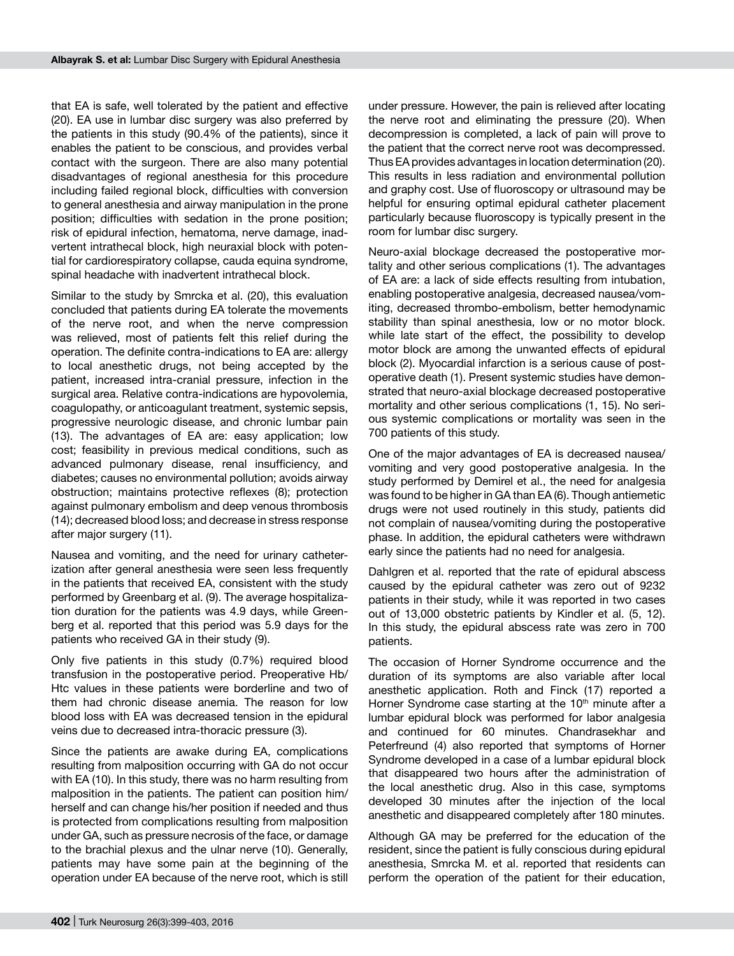that EA is safe, well tolerated by the patient and effective (20). EA use in lumbar disc surgery was also preferred by the patients in this study (90.4% of the patients), since it enables the patient to be conscious, and provides verbal contact with the surgeon. There are also many potential disadvantages of regional anesthesia for this procedure including failed regional block, difficulties with conversion to general anesthesia and airway manipulation in the prone position; difficulties with sedation in the prone position; risk of epidural infection, hematoma, nerve damage, inadvertent intrathecal block, high neuraxial block with potential for cardiorespiratory collapse, cauda equina syndrome, spinal headache with inadvertent intrathecal block.

Similar to the study by Smrcka et al. (20), this evaluation concluded that patients during EA tolerate the movements of the nerve root, and when the nerve compression was relieved, most of patients felt this relief during the operation. The definite contra-indications to EA are: allergy to local anesthetic drugs, not being accepted by the patient, increased intra-cranial pressure, infection in the surgical area. Relative contra-indications are hypovolemia, coagulopathy, or anticoagulant treatment, systemic sepsis, progressive neurologic disease, and chronic lumbar pain (13). The advantages of EA are: easy application; low cost; feasibility in previous medical conditions, such as advanced pulmonary disease, renal insufficiency, and diabetes; causes no environmental pollution; avoids airway obstruction; maintains protective reflexes (8); protection against pulmonary embolism and deep venous thrombosis (14); decreased blood loss; and decrease in stress response after major surgery (11).

Nausea and vomiting, and the need for urinary catheterization after general anesthesia were seen less frequently in the patients that received EA, consistent with the study performed by Greenbarg et al. (9). The average hospitalization duration for the patients was 4.9 days, while Greenberg et al. reported that this period was 5.9 days for the patients who received GA in their study (9).

Only five patients in this study (0.7%) required blood transfusion in the postoperative period. Preoperative Hb/ Htc values in these patients were borderline and two of them had chronic disease anemia. The reason for low blood loss with EA was decreased tension in the epidural veins due to decreased intra-thoracic pressure (3).

Since the patients are awake during EA, complications resulting from malposition occurring with GA do not occur with EA (10). In this study, there was no harm resulting from malposition in the patients. The patient can position him/ herself and can change his/her position if needed and thus is protected from complications resulting from malposition under GA, such as pressure necrosis of the face, or damage to the brachial plexus and the ulnar nerve (10). Generally, patients may have some pain at the beginning of the operation under EA because of the nerve root, which is still

under pressure. However, the pain is relieved after locating the nerve root and eliminating the pressure (20). When decompression is completed, a lack of pain will prove to the patient that the correct nerve root was decompressed. Thus EA provides advantages in location determination (20). This results in less radiation and environmental pollution and graphy cost. Use of fluoroscopy or ultrasound may be helpful for ensuring optimal epidural catheter placement particularly because fluoroscopy is typically present in the room for lumbar disc surgery.

Neuro-axial blockage decreased the postoperative mortality and other serious complications (1). The advantages of EA are: a lack of side effects resulting from intubation, enabling postoperative analgesia, decreased nausea/vomiting, decreased thrombo-embolism, better hemodynamic stability than spinal anesthesia, low or no motor block. while late start of the effect, the possibility to develop motor block are among the unwanted effects of epidural block (2). Myocardial infarction is a serious cause of postoperative death (1). Present systemic studies have demonstrated that neuro-axial blockage decreased postoperative mortality and other serious complications (1, 15). No serious systemic complications or mortality was seen in the 700 patients of this study.

One of the major advantages of EA is decreased nausea/ vomiting and very good postoperative analgesia. In the study performed by Demirel et al., the need for analgesia was found to be higher in GA than EA (6). Though antiemetic drugs were not used routinely in this study, patients did not complain of nausea/vomiting during the postoperative phase. In addition, the epidural catheters were withdrawn early since the patients had no need for analgesia.

Dahlgren et al. reported that the rate of epidural abscess caused by the epidural catheter was zero out of 9232 patients in their study, while it was reported in two cases out of 13,000 obstetric patients by Kindler et al. (5, 12). In this study, the epidural abscess rate was zero in 700 patients.

The occasion of Horner Syndrome occurrence and the duration of its symptoms are also variable after local anesthetic application. Roth and Finck (17) reported a Horner Syndrome case starting at the  $10<sup>th</sup>$  minute after a lumbar epidural block was performed for labor analgesia and continued for 60 minutes. Chandrasekhar and Peterfreund (4) also reported that symptoms of Horner Syndrome developed in a case of a lumbar epidural block that disappeared two hours after the administration of the local anesthetic drug. Also in this case, symptoms developed 30 minutes after the injection of the local anesthetic and disappeared completely after 180 minutes.

Although GA may be preferred for the education of the resident, since the patient is fully conscious during epidural anesthesia, Smrcka M. et al. reported that residents can perform the operation of the patient for their education,